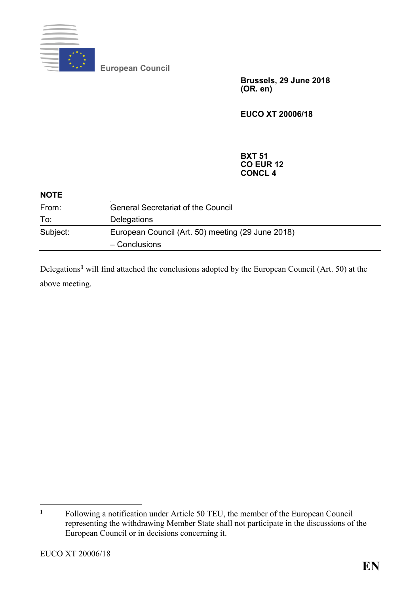

**European Council**

**Brussels, 29 June 2018 (OR. en)**

**EUCO XT 20006/18**

## **BXT 51 CO EUR 12 CONCL 4**

| <b>NOTE</b> |                                                                    |
|-------------|--------------------------------------------------------------------|
| From:       | <b>General Secretariat of the Council</b>                          |
| To:         | <b>Delegations</b>                                                 |
| Subject:    | European Council (Art. 50) meeting (29 June 2018)<br>- Conclusions |

Delegations**[1](#page-0-0)** will find attached the conclusions adopted by the European Council (Art. 50) at the above meeting.

<span id="page-0-0"></span> $\mathbf{1}$ **<sup>1</sup>** Following a notification under Article 50 TEU, the member of the European Council representing the withdrawing Member State shall not participate in the discussions of the European Council or in decisions concerning it.